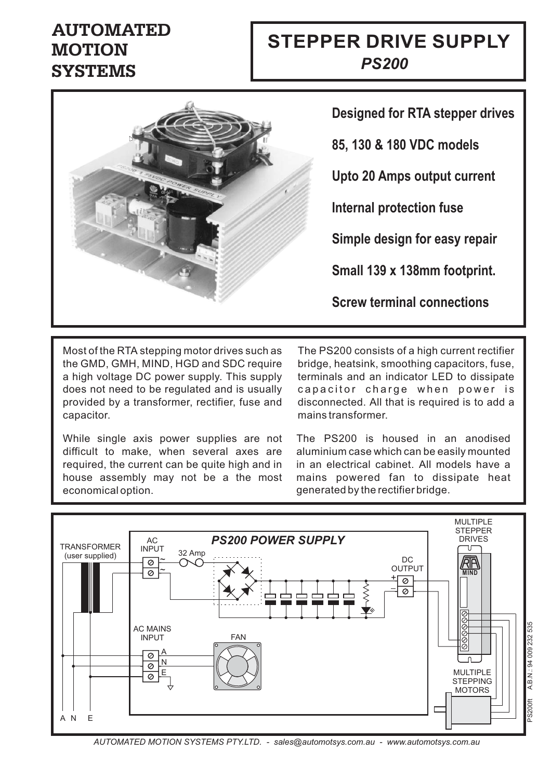## **AUTOMATED MOTION SYSTEMS**

# *MOTOR CABLES* **STEPPER DRIVE SUPPLY** *PS200*



**85, 130 & 180 VDC models Upto 20 Amps output current Simple design for easy repair Designed for RTA stepper drives Small 139 x 138mm footprint. Internal protection fuse**

**Screw terminal connections**

Most of the RTA stepping motor drives such as the GMD, GMH, MIND, HGD and SDC require a high voltage DC power supply. This supply does not need to be regulated and is usually provided by a transformer, rectifier, fuse and capacitor.

While single axis power supplies are not difficult to make, when several axes are required, the current can be quite high and in house assembly may not be a the most economicaloption.

The PS200 consists of a high current rectifier bridge, heatsink, smoothing capacitors, fuse, terminals and an indicator LED to dissipate capacitor charge when power is disconnected. All that is required is to add a mains transformer.

The PS200 is housed in an anodised aluminium case which can be easily mounted in an electrical cabinet. All models have a mains powered fan to dissipate heat generated bythe rectifierbridge.



*AUTOMATED MOTION SYSTEMS PTY.LTD. - sales@automotsys.com.au - www.automotsys.com.au*